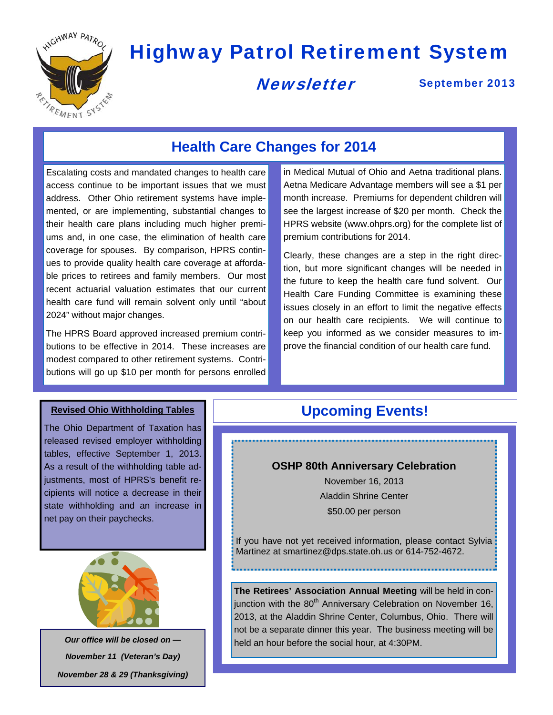

# Highway Patrol Retirement System

### **Newsletter**

September 2013

## **Health Care Changes for 2014**

Escalating costs and mandated changes to health care access continue to be important issues that we must address. Other Ohio retirement systems have implemented, or are implementing, substantial changes to their health care plans including much higher premiums and, in one case, the elimination of health care coverage for spouses. By comparison, HPRS continues to provide quality health care coverage at affordable prices to retirees and family members. Our most recent actuarial valuation estimates that our current health care fund will remain solvent only until "about 2024" without major changes.

The HPRS Board approved increased premium contributions to be effective in 2014. These increases are modest compared to other retirement systems. Contributions will go up \$10 per month for persons enrolled in Medical Mutual of Ohio and Aetna traditional plans. Aetna Medicare Advantage members will see a \$1 per month increase. Premiums for dependent children will see the largest increase of \$20 per month. Check the HPRS website (www.ohprs.org) for the complete list of premium contributions for 2014.

Clearly, these changes are a step in the right direction, but more significant changes will be needed in the future to keep the health care fund solvent. Our Health Care Funding Committee is examining these issues closely in an effort to limit the negative effects on our health care recipients. We will continue to keep you informed as we consider measures to improve the financial condition of our health care fund.

The Ohio Department of Taxation has released revised employer withholding tables, effective September 1, 2013. As a result of the withholding table adjustments, most of HPRS's benefit recipients will notice a decrease in their state withholding and an increase in net pay on their paychecks.



*Our office will be closed on — November 11 (Veteran's Day) November 28 & 29 (Thanksgiving)* 

#### **Revised Ohio Withholding Tables Upcoming Events!**

#### **OSHP 80th Anniversary Celebration**

November 16, 2013 Aladdin Shrine Center \$50.00 per person

If you have not yet received information, please contact Sylvia: Martinez at smartinez@dps.state.oh.us or 614-752-4672.

**The Retirees' Association Annual Meeting** will be held in conjunction with the  $80<sup>th</sup>$  Anniversary Celebration on November 16, 2013, at the Aladdin Shrine Center, Columbus, Ohio. There will not be a separate dinner this year. The business meeting will be held an hour before the social hour, at 4:30PM.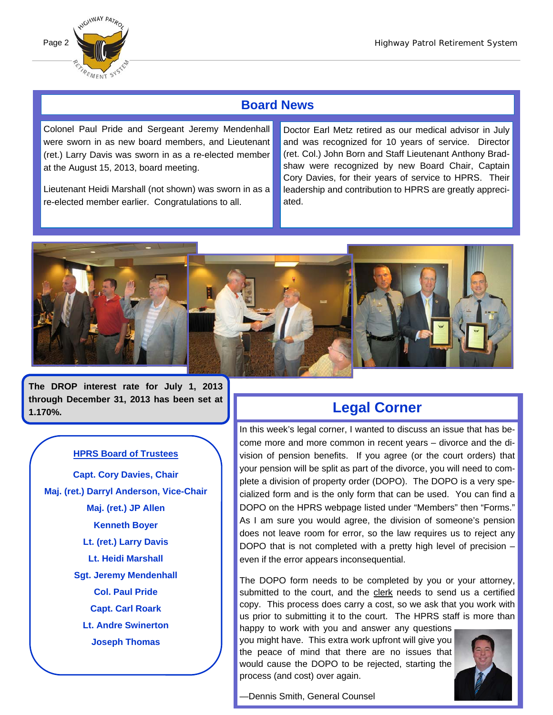

#### **Board News**

Colonel Paul Pride and Sergeant Jeremy Mendenhall were sworn in as new board members, and Lieutenant (ret.) Larry Davis was sworn in as a re-elected member at the August 15, 2013, board meeting.

Lieutenant Heidi Marshall (not shown) was sworn in as a re-elected member earlier. Congratulations to all.

Doctor Earl Metz retired as our medical advisor in July and was recognized for 10 years of service. Director (ret. Col.) John Born and Staff Lieutenant Anthony Bradshaw were recognized by new Board Chair, Captain Cory Davies, for their years of service to HPRS. Their leadership and contribution to HPRS are greatly appreciated.



**The DROP interest rate for July 1, 2013 through December 31, 2013 has been set at 1.170%.** 

#### **HPRS Board of Trustees**

**Capt. Cory Davies, Chair Maj. (ret.) Darryl Anderson, Vice-Chair Maj. (ret.) JP Allen Kenneth Boyer Lt. (ret.) Larry Davis Lt. Heidi Marshall Sgt. Jeremy Mendenhall Col. Paul Pride Capt. Carl Roark Lt. Andre Swinerton Joseph Thomas** 

#### **Legal Corner**

In this week's legal corner, I wanted to discuss an issue that has become more and more common in recent years – divorce and the division of pension benefits. If you agree (or the court orders) that your pension will be split as part of the divorce, you will need to complete a division of property order (DOPO). The DOPO is a very specialized form and is the only form that can be used. You can find a DOPO on the HPRS webpage listed under "Members" then "Forms." As I am sure you would agree, the division of someone's pension does not leave room for error, so the law requires us to reject any DOPO that is not completed with a pretty high level of precision – even if the error appears inconsequential.

The DOPO form needs to be completed by you or your attorney, submitted to the court, and the clerk needs to send us a certified copy. This process does carry a cost, so we ask that you work with us prior to submitting it to the court. The HPRS staff is more than

happy to work with you and answer any questions you might have. This extra work upfront will give you the peace of mind that there are no issues that would cause the DOPO to be rejected, starting the process (and cost) over again.



—Dennis Smith, General Counsel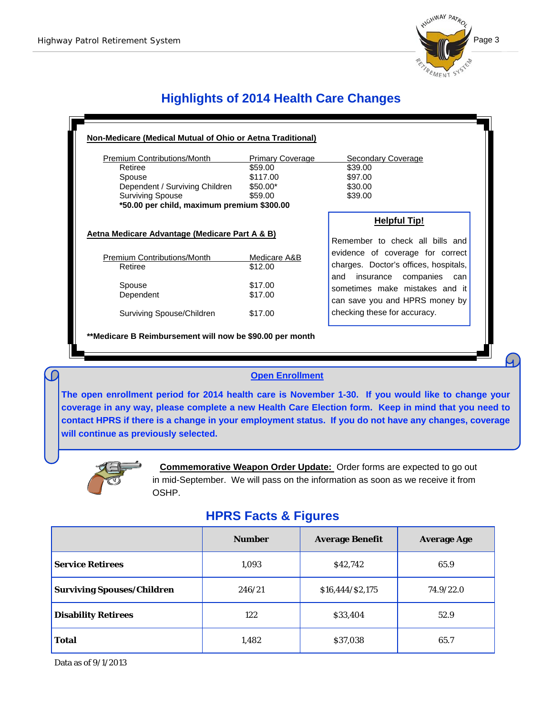

### **Highlights of 2014 Health Care Changes**

| <b>Premium Contributions/Month</b>             | <b>Primary Coverage</b> | Secondary Coverage                                               |
|------------------------------------------------|-------------------------|------------------------------------------------------------------|
| Retiree                                        | \$59.00                 | \$39.00                                                          |
| Spouse                                         | \$117.00                | \$97.00                                                          |
| Dependent / Surviving Children                 | $$50.00*$               | \$30.00                                                          |
| <b>Surviving Spouse</b>                        | \$59.00                 | \$39.00                                                          |
| *50.00 per child, maximum premium \$300.00     |                         |                                                                  |
|                                                |                         | <b>Helpful Tip!</b>                                              |
| Aetna Medicare Advantage (Medicare Part A & B) |                         | Remember to check all bills and                                  |
| <b>Premium Contributions/Month</b>             | Medicare A&B            | evidence of coverage for correct                                 |
| Retiree                                        | \$12.00                 | charges. Doctor's offices, hospitals,                            |
| Spouse                                         | \$17.00                 | companies can<br>insurance<br>and                                |
| Dependent                                      | \$17.00                 | sometimes make mistakes and it<br>can save you and HPRS money by |
| Surviving Spouse/Children                      | \$17.00                 | checking these for accuracy.                                     |

#### **Open Enrollment**

**The open enrollment period for 2014 health care is November 1-30. If you would like to change your coverage in any way, please complete a new Health Care Election form. Keep in mind that you need to contact HPRS if there is a change in your employment status. If you do not have any changes, coverage will continue as previously selected.** 



<u>i kacamatan ing Kabupatèn Ing Kabupatèn Ing Kabupatèn Ing Kabupatèn Ing Kabupatèn Ing Kabupatèn Ing Kabupatèn Ing Kabupatèn Ing Kabupatèn Ing Kabupatèn Ing Kabupatèn Ing Kabupatèn Ing Kabupatèn Ing Kabupatèn Ing Kabupatèn</u>

 **Commemorative Weapon Order Update:** Order forms are expected to go out in mid-September. We will pass on the information as soon as we receive it from OSHP.

#### **HPRS Facts & Figures**

|                                   | <b>Number</b> | <b>Average Benefit</b> | <b>Average Age</b> |
|-----------------------------------|---------------|------------------------|--------------------|
| <b>Service Retirees</b>           | 1,093         | \$42,742               | 65.9               |
| <b>Surviving Spouses/Children</b> | 246/21        | \$16,444/\$2,175       | 74.9/22.0          |
| <b>Disability Retirees</b>        | 122           | \$33,404               | 52.9               |
| <b>Total</b>                      | 1,482         | \$37,038               | 65.7               |

Data as of 9/1/2013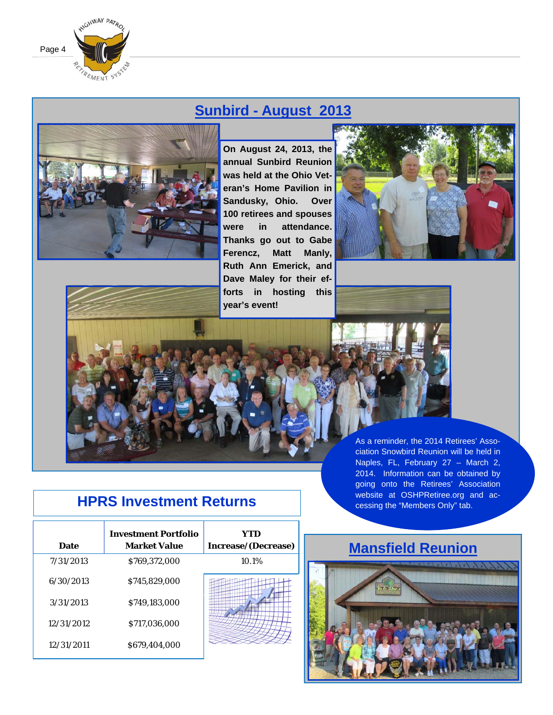

## **Sunbird - August 2013**



**On August 24, 2013, the annual Sunbird Reunion was held at the Ohio Veteran's Home Pavilion in Sandusky, Ohio. Over 100 retirees and spouses were in attendance. Thanks go out to Gabe Ferencz, Matt Manly, Ruth Ann Emerick, and Dave Maley for their efforts in hosting this year's event!** 





ciation Snowbird Reunion will be held in Naples, FL, February 27 – March 2, 2014. Information can be obtained by going onto the Retirees' Association website at OSHPRetiree.org and accessing the "Members Only" tab.

## **HPRS Investment Returns**

| Date       | <b>Investment Portfolio</b><br><b>Market Value</b> | YTD<br>Increase/(Decrease) |
|------------|----------------------------------------------------|----------------------------|
| 7/31/2013  | \$769,372,000                                      | 10.1%                      |
| 6/30/2013  | \$745,829,000                                      |                            |
| 3/31/2013  | \$749,183,000                                      |                            |
| 12/31/2012 | \$717,036,000                                      |                            |
| 12/31/2011 | \$679.404.000                                      |                            |

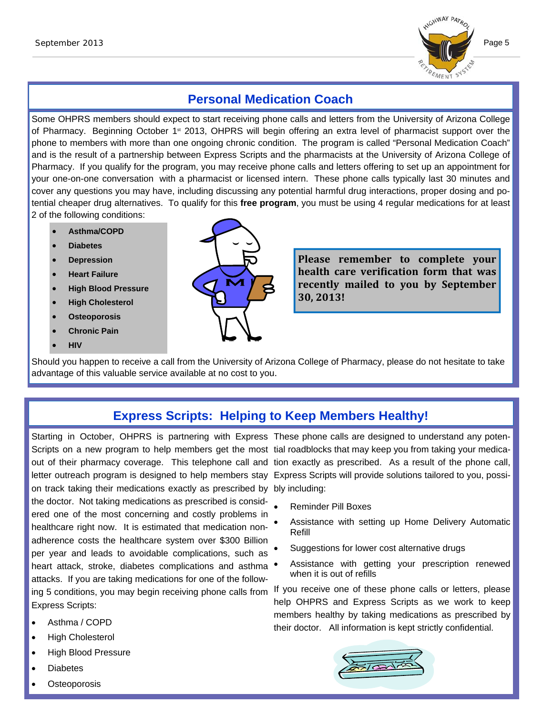

#### **Personal Medication Coach**

Some OHPRS members should expect to start receiving phone calls and letters from the University of Arizona College of Pharmacy. Beginning October 1<sup>st</sup> 2013, OHPRS will begin offering an extra level of pharmacist support over the phone to members with more than one ongoing chronic condition. The program is called "Personal Medication Coach" and is the result of a partnership between Express Scripts and the pharmacists at the University of Arizona College of Pharmacy. If you qualify for the program, you may receive phone calls and letters offering to set up an appointment for your one-on-one conversation with a pharmacist or licensed intern. These phone calls typically last 30 minutes and cover any questions you may have, including discussing any potential harmful drug interactions, proper dosing and potential cheaper drug alternatives. To qualify for this **free program**, you must be using 4 regular medications for at least 2 of the following conditions:

- **Asthma/COPD**
- **Diabetes**
- **Depression**
- **Heart Failure**
- **High Blood Pressure**
- **High Cholesterol**
- **Osteoporosis**
- **Chronic Pain**
- **HIV**



**Please remember to complete your health** care verification form that was **recently mailed to you by September 30, 2013!**

Should you happen to receive a call from the University of Arizona College of Pharmacy, please do not hesitate to take advantage of this valuable service available at no cost to you.

#### **Express Scripts: Helping to Keep Members Healthy!**

Starting in October, OHPRS is partnering with Express These phone calls are designed to understand any poten-Scripts on a new program to help members get the most tial roadblocks that may keep you from taking your medicaletter outreach program is designed to help members stay Express Scripts will provide solutions tailored to you, possion track taking their medications exactly as prescribed by bly including: the doctor. Not taking medications as prescribed is considered one of the most concerning and costly problems in healthcare right now. It is estimated that medication nonadherence costs the healthcare system over \$300 Billion per year and leads to avoidable complications, such as heart attack, stroke, diabetes complications and asthma  $\bullet$ attacks. If you are taking medications for one of the following 5 conditions, you may begin receiving phone calls from Express Scripts:

- Asthma / COPD
- High Cholesterol
- High Blood Pressure
- **Diabetes**
- **Osteoporosis**

out of their pharmacy coverage. This telephone call and tion exactly as prescribed. As a result of the phone call,

- Reminder Pill Boxes
- Assistance with setting up Home Delivery Automatic Refill
- Suggestions for lower cost alternative drugs
- Assistance with getting your prescription renewed when it is out of refills

If you receive one of these phone calls or letters, please help OHPRS and Express Scripts as we work to keep members healthy by taking medications as prescribed by their doctor. All information is kept strictly confidential.